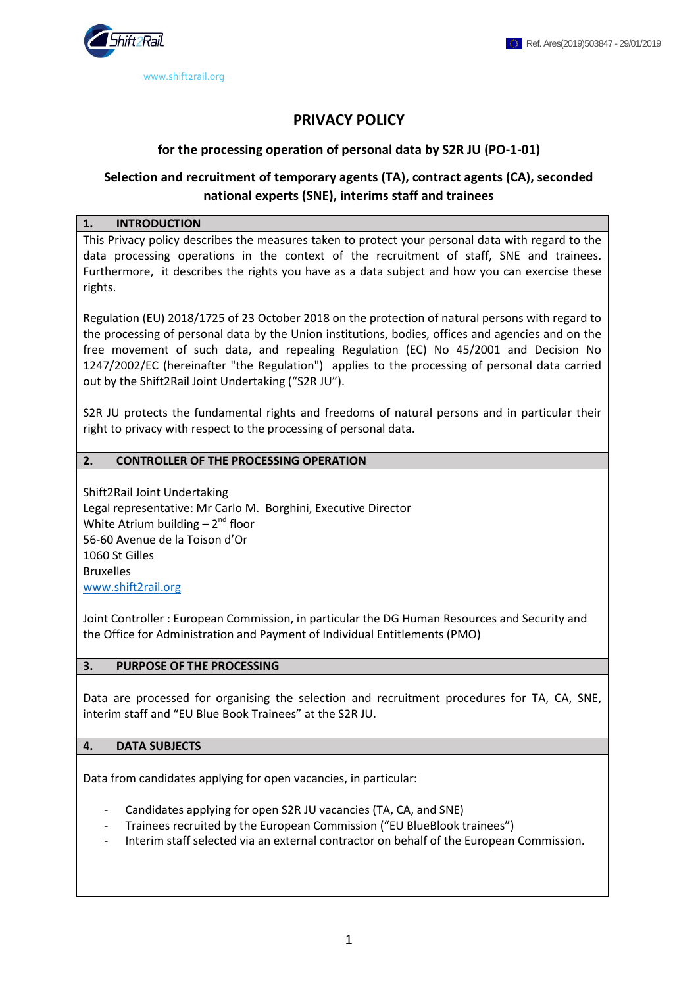

# **PRIVACY POLICY**

# **for the processing operation of personal data by S2R JU (PO-1-01)**

# **Selection and recruitment of temporary agents (TA), contract agents (CA), seconded national experts (SNE), interims staff and trainees**

### **1. INTRODUCTION**

This Privacy policy describes the measures taken to protect your personal data with regard to the data processing operations in the context of the recruitment of staff, SNE and trainees. Furthermore, it describes the rights you have as a data subject and how you can exercise these rights.

Regulation (EU) 2018/1725 of 23 October 2018 on the protection of natural persons with regard to the processing of personal data by the Union institutions, bodies, offices and agencies and on the free movement of such data, and repealing Regulation (EC) No 45/2001 and Decision No 1247/2002/EC (hereinafter "the Regulation") applies to the processing of personal data carried out by the Shift2Rail Joint Undertaking ("S2R JU").

S2R JU protects the fundamental rights and freedoms of natural persons and in particular their right to privacy with respect to the processing of personal data.

#### **2. CONTROLLER OF THE PROCESSING OPERATION**

Shift2Rail Joint Undertaking Legal representative: Mr Carlo M. Borghini, Executive Director White Atrium building – 2<sup>nd</sup> floor 56-60 Avenue de la Toison d'Or 1060 St Gilles Bruxelles [www.shift2rail.org](http://www.shift2rail.org/)

Joint Controller : European Commission, in particular the DG Human Resources and Security and the Office for Administration and Payment of Individual Entitlements (PMO)

# **3. PURPOSE OF THE PROCESSING**

Data are processed for organising the selection and recruitment procedures for TA, CA, SNE, interim staff and "EU Blue Book Trainees" at the S2R JU.

# **4. DATA SUBJECTS**

Data from candidates applying for open vacancies, in particular:

- Candidates applying for open S2R JU vacancies (TA, CA, and SNE)
- Trainees recruited by the European Commission ("EU BlueBlook trainees")
- Interim staff selected via an external contractor on behalf of the European Commission.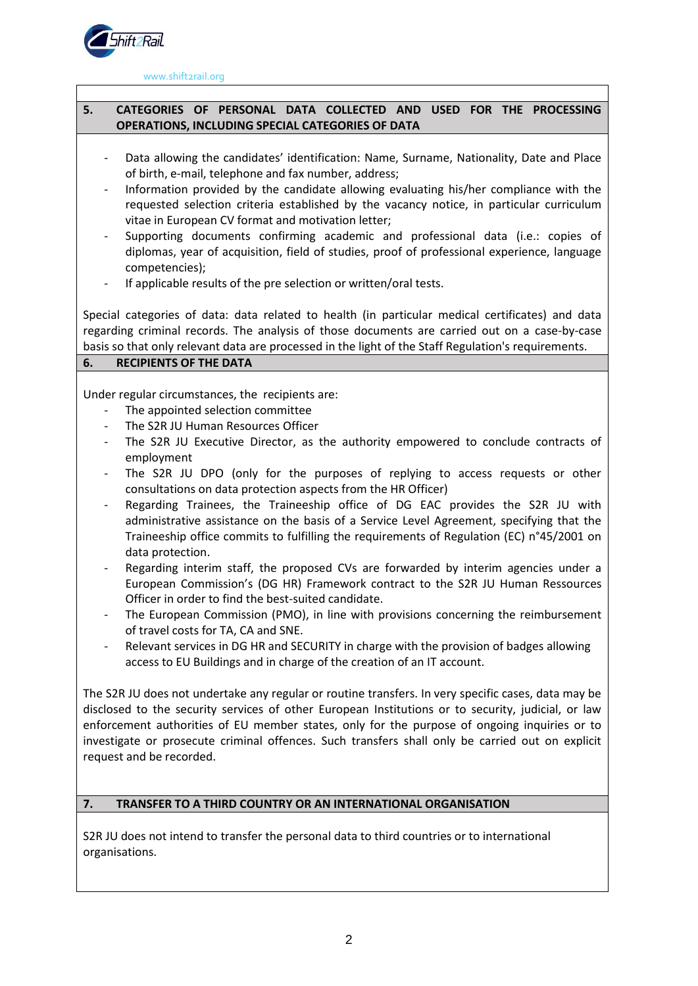

# **5. CATEGORIES OF PERSONAL DATA COLLECTED AND USED FOR THE PROCESSING OPERATIONS, INCLUDING SPECIAL CATEGORIES OF DATA**

- Data allowing the candidates' identification: Name, Surname, Nationality, Date and Place of birth, e-mail, telephone and fax number, address;
- Information provided by the candidate allowing evaluating his/her compliance with the requested selection criteria established by the vacancy notice, in particular curriculum vitae in European CV format and motivation letter;
- Supporting documents confirming academic and professional data (i.e.: copies of diplomas, year of acquisition, field of studies, proof of professional experience, language competencies);
- If applicable results of the pre selection or written/oral tests.

Special categories of data: data related to health (in particular medical certificates) and data regarding criminal records. The analysis of those documents are carried out on a case-by-case basis so that only relevant data are processed in the light of the Staff Regulation's requirements.

#### **6. RECIPIENTS OF THE DATA**

Under regular circumstances, the recipients are:

- The appointed selection committee
- The S2R JU Human Resources Officer
- The S2R JU Executive Director, as the authority empowered to conclude contracts of employment
- The S2R JU DPO (only for the purposes of replying to access requests or other consultations on data protection aspects from the HR Officer)
- Regarding Trainees, the Traineeship office of DG EAC provides the S2R JU with administrative assistance on the basis of a Service Level Agreement, specifying that the Traineeship office commits to fulfilling the requirements of Regulation (EC) n°45/2001 on data protection.
- Regarding interim staff, the proposed CVs are forwarded by interim agencies under a European Commission's (DG HR) Framework contract to the S2R JU Human Ressources Officer in order to find the best-suited candidate.
- The European Commission (PMO), in line with provisions concerning the reimbursement of travel costs for TA, CA and SNE.
- Relevant services in DG HR and SECURITY in charge with the provision of badges allowing access to EU Buildings and in charge of the creation of an IT account.

The S2R JU does not undertake any regular or routine transfers. In very specific cases, data may be disclosed to the security services of other European Institutions or to security, judicial, or law enforcement authorities of EU member states, only for the purpose of ongoing inquiries or to investigate or prosecute criminal offences. Such transfers shall only be carried out on explicit request and be recorded.

# **7. TRANSFER TO A THIRD COUNTRY OR AN INTERNATIONAL ORGANISATION**

S2R JU does not intend to transfer the personal data to third countries or to international organisations.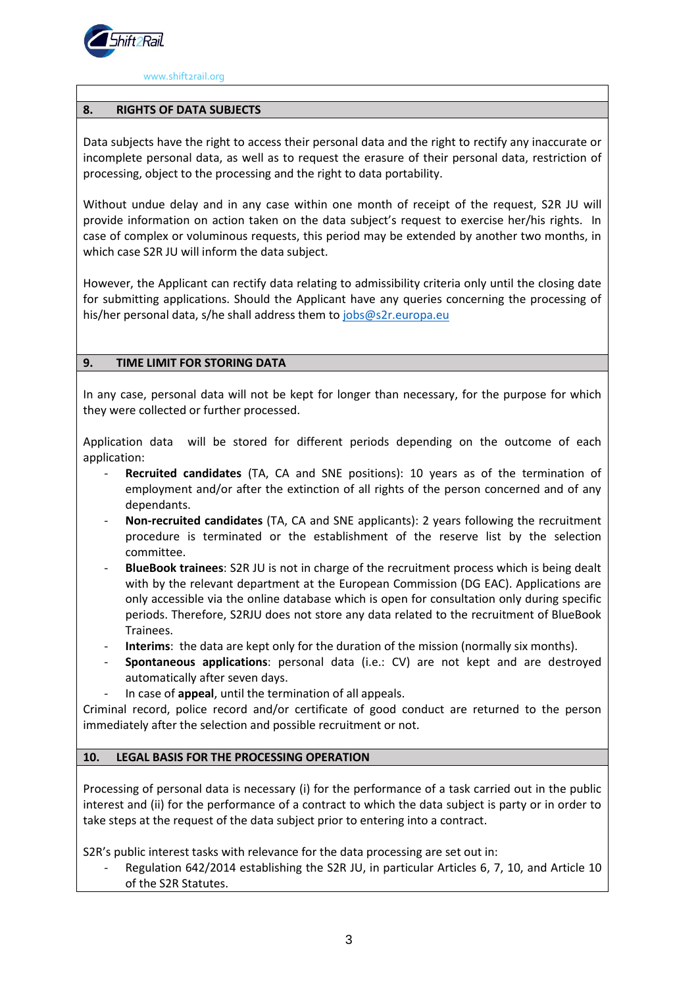

#### **8. RIGHTS OF DATA SUBJECTS**

Data subjects have the right to access their personal data and the right to rectify any inaccurate or incomplete personal data, as well as to request the erasure of their personal data, restriction of processing, object to the processing and the right to data portability.

Without undue delay and in any case within one month of receipt of the request, S2R JU will provide information on action taken on the data subject's request to exercise her/his rights. In case of complex or voluminous requests, this period may be extended by another two months, in which case S2R JU will inform the data subject.

However, the Applicant can rectify data relating to admissibility criteria only until the closing date for submitting applications. Should the Applicant have any queries concerning the processing of his/her personal data, s/he shall address them t[o jobs@s2r.europa.eu](mailto:jobs@s2r.europa.eu)

#### **9. TIME LIMIT FOR STORING DATA**

In any case, personal data will not be kept for longer than necessary, for the purpose for which they were collected or further processed.

Application data will be stored for different periods depending on the outcome of each application:

- **Recruited candidates** (TA, CA and SNE positions): 10 years as of the termination of employment and/or after the extinction of all rights of the person concerned and of any dependants.
- **Non-recruited candidates** (TA, CA and SNE applicants): 2 years following the recruitment procedure is terminated or the establishment of the reserve list by the selection committee.
- **BlueBook trainees**: S2R JU is not in charge of the recruitment process which is being dealt with by the relevant department at the European Commission (DG EAC). Applications are only accessible via the online database which is open for consultation only during specific periods. Therefore, S2RJU does not store any data related to the recruitment of BlueBook Trainees.
- Interims: the data are kept only for the duration of the mission (normally six months).
- **Spontaneous applications**: personal data (i.e.: CV) are not kept and are destroyed automatically after seven days.
- In case of **appeal**, until the termination of all appeals.

Criminal record, police record and/or certificate of good conduct are returned to the person immediately after the selection and possible recruitment or not.

#### **10. LEGAL BASIS FOR THE PROCESSING OPERATION**

Processing of personal data is necessary (i) for the performance of a task carried out in the public interest and (ii) for the performance of a contract to which the data subject is party or in order to take steps at the request of the data subject prior to entering into a contract.

S2R's public interest tasks with relevance for the data processing are set out in:

Regulation 642/2014 establishing the S2R JU, in particular Articles 6, 7, 10, and Article 10 of the S2R Statutes.